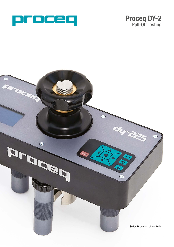



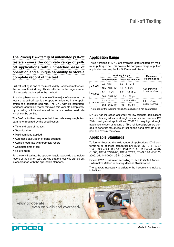**The Proceq DY-2 family of automated pull-off testers covers the complete range of pulloff applications with unmatched ease of operation and a unique capability to store a complete record of the test.**

Pull-off testing is one of the most widely used test methods in the construction industry. This is reflected in the huge number of standards dedicated to the method.

It has long been known that one of the major influences on the result of a pull-off test is the operator influence in the application of a constant load rate. The DY-2 with its integrated, feedback controlled motor removes this variable completely, by providing a fully automated test at a constant load rate which can be verified.

The DY-2 is further unique in that it records every single test parameter required by the specification.

- Time and date of the test
- Test disc size
- Maximum load applied
- Automatic calculation of bond strength
- Applied load rate with graphical record
- Complete time of test
- Failure mode

For the very first time, the operator is able to provide a complete record of the pull-off test, proving that the test was carried out in accordance with the applicable standard.

#### **Application Range**

Three versions of DY-2 are available differentiated by maximum pulling force. This covers the complete range of pull-off applications (examples for Ø 50mm test discs):

|               | <b>Working Range</b> |                    | <b>Maximum</b>         |  |
|---------------|----------------------|--------------------|------------------------|--|
|               | <b>Tensile Force</b> | ः Test Disc Ø 50mm | <b>Pulling Speed</b>   |  |
| <b>DY-206</b> | $0.6 - 6$ kN         | ∶ 0.3 - 3.1 MPa    |                        |  |
|               | ∶ 135 - 1349 lbf     | ∶ 44 - 443 psi     | $4.65$ mm/min          |  |
| DY-216        | 1.6 - 16 kN          | ∶ 0.81 - 8.1 MPa   | $0.183$ inch/min       |  |
|               | :360 - 3597 lbf      | : 118 - 1182 psi   |                        |  |
| DY-225        | 2.5 - 25 kN          | ∶ 1.3 - 12.7 MPa   | $: 2.2 \text{ mm/min}$ |  |
|               | 562 - 5620 lbf       | ∶ 185 - 1847 psi   | $0.086$ inch/min       |  |

Note: Below the working range, the accuracy is not guaranteed.

DY-206 has increased accuracy for low strength applications such as testing adhesive strength of mortars and renders. DY-216 covering most applications. DY-225 for very high strength applications such as testing of fibre reinforced polymers bonded to concrete structures or testing the bond strength of repair and overlay materials.

#### **Applicable Standards**

To further illustrate the wide range of applications, DY-2 conforms to all of these standards: EN 1542, EN 1015-12, EN 1348, ISO 4624, BS 1881 Part 207, ASTM D4541, ASTM C1583, ASTM D7234-05, ASTM D7522, ZTV-SIB 90, JGJ126- 2000, JGJ144-2004, JGJ110-2008.

Proceq DY-2 is calibrated according to EN ISO 7500-1 Annex C - Alternative Method of Testing Machine Classification.

The software necessary to calibrate the instrument is included in DY-Link.





Made in Switzerland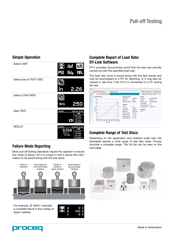# Pull-off Testing

# **Simple Operation**



## **Failure Mode Reporting**

Most pull-off testing standards require the operator to record the mode of failure. DY-2 is unique in that it allows this information to be saved along with the test result.



For example "B 100%" indicates a complete failure in the overlay or repair material.



# **Complete Report of Load Rate: DY-Link Software**

DY-2 provides documentary proof that the test was actually carried out with the specified load rate.

The load rate curve is saved along with the test results and may be downloaded to a PC for reporting, or it may also be viewed in real time if the DY-2 is connected to a PC during the test.

|                    | Slot ID ID                                                       |    | Date & Time                                                     | Measured value       |                                                                                                                                                                                                                            |                                                                                                               | Dolly Area Dolly Ø                                                                                                                            |                            | Load Rate Unit                 |    |
|--------------------|------------------------------------------------------------------|----|-----------------------------------------------------------------|----------------------|----------------------------------------------------------------------------------------------------------------------------------------------------------------------------------------------------------------------------|---------------------------------------------------------------------------------------------------------------|-----------------------------------------------------------------------------------------------------------------------------------------------|----------------------------|--------------------------------|----|
| $\hat{\mathbf{x}}$ | 6                                                                | 66 | 01/01/2000 12:28 AM 25:10                                       |                      |                                                                                                                                                                                                                            |                                                                                                               | 1963 mm2 50.0 mm2 300 N/s                                                                                                                     |                            |                                | kN |
|                    | 30 <sup>1</sup><br>$25 -$<br>20<br>force(kN)<br>$10-$<br>5.<br>0 | 0  | <b>Load Rate Curve</b><br>20<br>30<br>50<br>40<br>10<br>time(s) | 70<br>60<br>80<br>90 | <b>Measurement</b><br>Peak Load<br>Duration<br><b>Efftive Load Rate</b><br><b>Settings</b><br>Unit<br>Load Rate<br>Load Limit<br>Dolly Area<br><b>Dolly Diameter</b><br>Failure Mode 1<br>Failure Mode 2<br>Failure Mode 3 | 25.10 kN<br>84.0 s<br>299 N/s<br>kN<br>300 N/s<br>25.00 kN<br>1963 mm2<br>50.0 mm<br>A 0%<br>AB 0%<br>0%<br>B | <b>Device</b><br>Serial No.<br>Model<br>HW Serial No.<br><b>HW Revision</b><br>Firmware Version 1.2.2<br>Last Calibration<br>Comment<br>[Add] | DY-225<br>A0<br>01/01/2000 | DT03-000-0005<br>DT80-000-0005 |    |

## **Complete Range of Test Discs**

Depending on the application and material under test, the standards specify a wide range of test disc sizes. Proceq provides a complete range. The full list can be seen on the next page.





Made in Switzerland